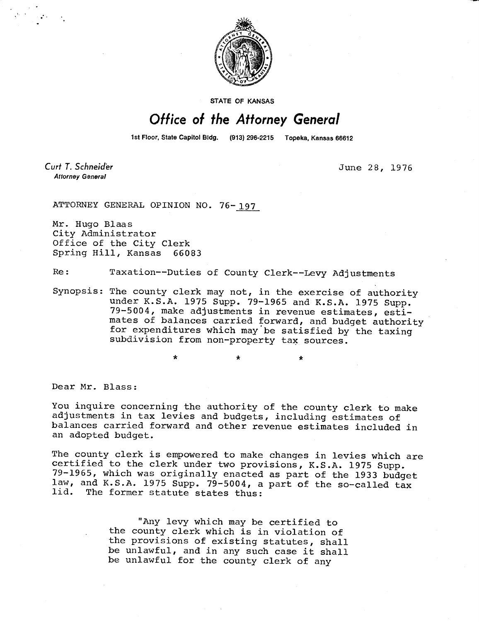

STATE OF KANSAS

## Office of the Attorney General

1st Floor, State Capitol Bldg. (913) 296-2215 Topeka, Kansas 66612

\*

Curt T. Schneider **Attorney General** 

June 28, 1976

ATTORNEY GENERAL OPINION NO. 76-197

Mr. Hugo Blaas City Administrator Office of the City Clerk Spring Hill, Kansas 66083

Re: Taxation--Duties of County Clerk--Levy Adjustments

Synopsis: The county clerk may not, in the exercise of authority under K.S.A. 1975 Supp. 79-1965 and K.S.A. 1975 Supp. 79-5004, make adjustments in revenue estimates, estimates of balances carried forward, and budget authority for expenditures which may be satisfied by the taxing subdivision from non-property tax sources.

Dear Mr. Blass:

You inquire concerning the authority of the county clerk to make adjustments in tax levies and budgets, including estimates of balances carried forward and other revenue estimates included in an adopted budget.

The county clerk is empowered to make changes in levies which are certified to the clerk under two provisions, K.S.A. 1975 Supp. 79-1965, which was originally enacted as part of the 1933 budget law, and K.S.A. 1975 Supp. 79-5004, a part of the so-called tax The former statute states thus:

> "Any levy which may be certified to the county clerk which is in violation of the provisions of existing statutes, shall be unlawful, and in any such case it shall be unlawful for the county clerk of any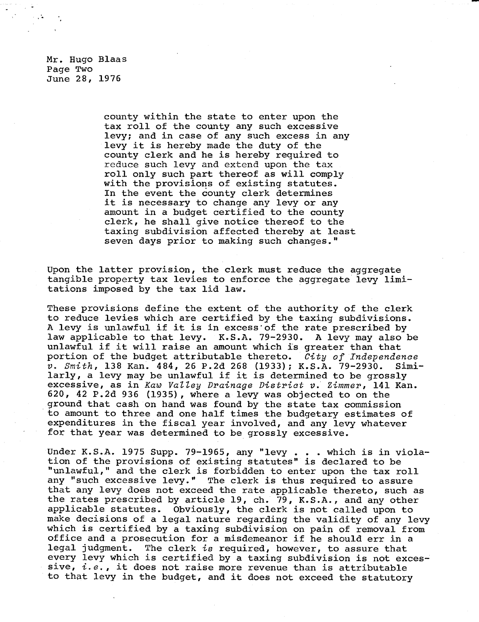Mr. Hugo Blaas Page Two June 28, 1976

> county within the state to enter upon the tax roll of the county any such excessive levy; and in case of any such excess in any levy it is hereby made the duty of the county clerk and he is hereby required to reduce such levy and extend upon the tax roll only such part thereof as will comply with the provisions of existing statutes. In the event the county clerk determines it is necessary to change any levy or any amount in a budget certified to the county clerk, he shall give notice thereof to the taxing subdivision affected thereby at least seven days prior to making such changes."

Upon the latter provision, the clerk must reduce the aggregate tangible property tax levies to enforce the aggregate levy limitations imposed by the tax lid law.

These provisions define the extent of the authority of the clerk to reduce levies which are certified by the taxing subdivisions. A levy is unlawful if it is in excess of the rate prescribed by law applicable to that levy. K.S.A. 79-2930. A levy may also be unlawful if it will raise an amount which is greater than that portion of the budget attributable thereto. City of Independence v. Smith, 138 Kan. 484, 26 P.2d 268 (1933); K.S.A. 79-2930. Similarly, a levy may be unlawful if it is determined to be grossly excessive, as in Kaw Valley Drainage District v. Zimmer, 141 Kan. 620, 42 P.2d 936 (1935), where a levy was objected to on the ground that cash on hand was found by the state tax commission to amount to three and one half times the budgetary estimates of expenditures in the fiscal year involved, and any levy whatever for that year was determined to be grossly excessive.

Under K.S.A. 1975 Supp. 79-1965, any "levy . . . which is in violation of the provisions of existing statutes" is declared to be "unlawful," and the clerk is forbidden to enter upon the tax roll any "such excessive levy." The clerk is thus required to assure that any levy does not exceed the rate applicable thereto, such as the rates prescribed by article 19, ch. 79, K.S.A., and any other applicable statutes. Obviously, the clerk is not called upon to make decisions of a legal nature regarding the validity of any levy which is certified by a taxing subdivision on pain of removal from office and a prosecution for a misdemeanor if he should err in a legal judgment. The clerk is required, however, to assure that every levy which is certified by a taxing subdivision is not excessive,  $i.e.,$  it does not raise more revenue than is attributable to that levy in the budget, and it does not exceed the statutory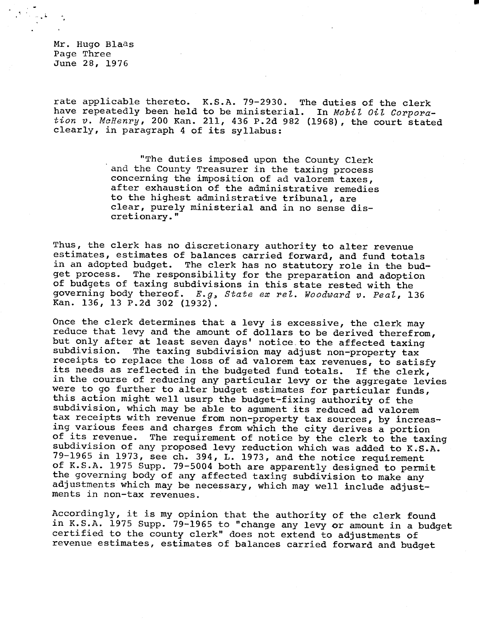Mr. Hugo Blaas Page Three June 28, 1976

rate applicable thereto. K.S.A. 79-2930. The duties of the clerk have repeatedly been held to be ministerial. In Mobil Oil Corpora $tion$  v. McHenry, 200 Kan. 211, 436 P.2d 982 (1968), the court stated clearly, in paragraph 4 of its syllabus:

> "The duties imposed upon the County Clerk and the County Treasurer in the taxing process concerning the imposition of ad valorem taxes, after exhaustion of the administrative remedies to the highest administrative tribunal, are clear, purely ministerial and in no sense discretionary."

Thus, the clerk has no discretionary authority to alter revenue estimates, estimates of balances carried forward, and fund totals in an adopted budget. The clerk has no statutory role in the budget process. The responsibility for the preparation and adoption of budgets of taxing subdivisions in this state rested with the governing body thereof. E.g, State ex rel. Woodward v. Peal, 136 Kan. 136, 13 P.2d 302 (1932).

Once the clerk determines that a levy is excessive, the clerk may reduce that levy and the amount of dollars to be derived therefrom, but only after at least seven days' notice to the affected taxing<br>subdivision. The taxing subdivision may adjust non-property tax The taxing subdivision may adjust non-property tax receipts to replace the loss of ad valorem tax revenues, to satisfy its needs as reflected in the budgeted fund totals. If the clerk, in the course of reducing any particular levy or the aggregate levies were to go further to alter budget estimates for particular funds, this action might well usurp the budget-fixing authority of the subdivision, which may be able to agument its reduced ad valorem tax receipts with revenue from non-property tax sources, by increasing various fees and charges from which the city derives a portion of its revenue. The requirement of notice by the clerk to the taxing subdivision of any proposed levy reduction which was added to K.S.A. 79-1965 in 1973, see ch. 394, L. 1973, and the notice requirement of K.S.A. 1975 Supp. 79-5004 both are apparently designed to permit the governing body of any affected taxing subdivision to make any adjustments which may be necessary, which may well include adjustments in non-tax revenues.

Accordingly, it is my opinion that the authority of the clerk found in K.S.A. 1975 Supp. 79-1965 to "change any levy or amount in a budget certified to the county clerk" does not extend to adjustments of revenue estimates, estimates of balances carried forward and budget